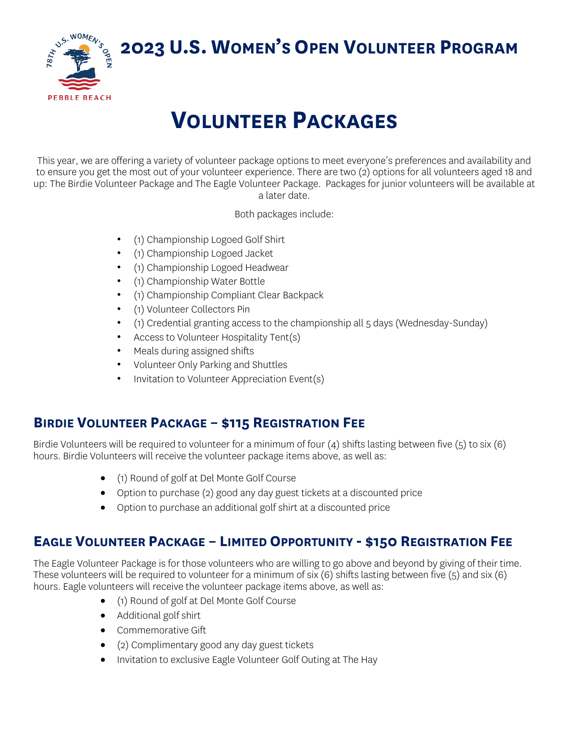**2023 U.S. WOMEN'S OPEN VOLUNTEER PROGRAM**



## **VOLUNTEER PACKAGES**

This year, we are offering a variety of volunteer package options to meet everyone's preferences and availability and to ensure you get the most out of your volunteer experience. There are two (2) options for all volunteers aged 18 and up: The Birdie Volunteer Package and The Eagle Volunteer Package. Packages for junior volunteers will be available at a later date.

Both packages include:

- (1) Championship Logoed Golf Shirt
- (1) Championship Logoed Jacket
- (1) Championship Logoed Headwear
- (1) Championship Water Bottle
- (1) Championship Compliant Clear Backpack
- (1) Volunteer Collectors Pin
- (1) Credential granting access to the championship all 5 days (Wednesday-Sunday)
- Access to Volunteer Hospitality Tent(s)
- Meals during assigned shifts
- Volunteer Only Parking and Shuttles
- Invitation to Volunteer Appreciation Event(s)

## **BIRDIE VOLUNTEER PACKAGE – \$115 REGISTRATION FEE**

Birdie Volunteers will be required to volunteer for a minimum of four (4) shifts lasting between five (5) to six (6) hours. Birdie Volunteers will receive the volunteer package items above, as well as:

- (1) Round of golf at Del Monte Golf Course
- Option to purchase (2) good any day guest tickets at a discounted price
- Option to purchase an additional golf shirt at a discounted price

## **EAGLE VOLUNTEER PACKAGE – LIMITED OPPORTUNITY - \$150 REGISTRATION FEE**

The Eagle Volunteer Package is for those volunteers who are willing to go above and beyond by giving of their time. These volunteers will be required to volunteer for a minimum of six (6) shifts lasting between five (5) and six (6) hours. Eagle volunteers will receive the volunteer package items above, as well as:

- (1) Round of golf at Del Monte Golf Course
- Additional golf shirt
- Commemorative Gift
- (2) Complimentary good any day guest tickets
- Invitation to exclusive Eagle Volunteer Golf Outing at The Hay